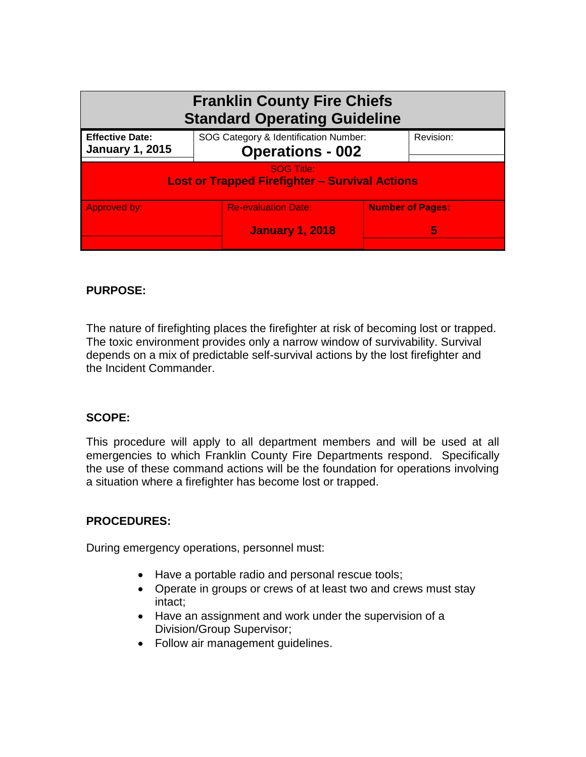| <b>Franklin County Fire Chiefs</b><br><b>Standard Operating Guideline</b>  |                                                                  |                              |  |  |
|----------------------------------------------------------------------------|------------------------------------------------------------------|------------------------------|--|--|
| <b>Effective Date:</b><br><b>January 1, 2015</b>                           | SOG Category & Identification Number:<br><b>Operations - 002</b> | Revision:                    |  |  |
| <b>SOG Title:</b><br><b>Lost or Trapped Firefighter - Survival Actions</b> |                                                                  |                              |  |  |
| Approved by:                                                               | <b>Re-evaluation Date:</b><br><b>January 1, 2018</b>             | <b>Number of Pages:</b><br>5 |  |  |

# **PURPOSE:**

The nature of firefighting places the firefighter at risk of becoming lost or trapped. The toxic environment provides only a narrow window of survivability. Survival depends on a mix of predictable self-survival actions by the lost firefighter and the Incident Commander.

# **SCOPE:**

This procedure will apply to all department members and will be used at all emergencies to which Franklin County Fire Departments respond. Specifically the use of these command actions will be the foundation for operations involving a situation where a firefighter has become lost or trapped.

# **PROCEDURES:**

During emergency operations, personnel must:

- Have a portable radio and personal rescue tools;
- Operate in groups or crews of at least two and crews must stay intact;
- Have an assignment and work under the supervision of a Division/Group Supervisor;
- Follow air management guidelines.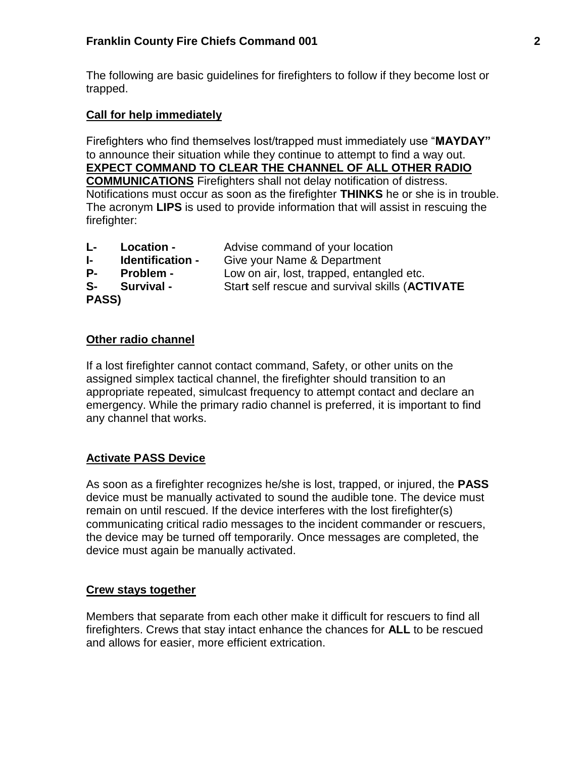The following are basic guidelines for firefighters to follow if they become lost or trapped.

# **Call for help immediately**

Firefighters who find themselves lost/trapped must immediately use "**MAYDAY"**  to announce their situation while they continue to attempt to find a way out. **EXPECT COMMAND TO CLEAR THE CHANNEL OF ALL OTHER RADIO COMMUNICATIONS** Firefighters shall not delay notification of distress. Notifications must occur as soon as the firefighter **THINKS** he or she is in trouble. The acronym **LIPS** is used to provide information that will assist in rescuing the firefighter:

| L- I         | Location -              | Advise command of your location                 |
|--------------|-------------------------|-------------------------------------------------|
| $\mathbf{F}$ | <b>Identification -</b> | Give your Name & Department                     |
| <b>P</b> -   | <b>Problem -</b>        | Low on air, lost, trapped, entangled etc.       |
| S-           | <b>Survival -</b>       | Start self rescue and survival skills (ACTIVATE |
| PASS)        |                         |                                                 |

### **Other radio channel**

If a lost firefighter cannot contact command, Safety, or other units on the assigned simplex tactical channel, the firefighter should transition to an appropriate repeated, simulcast frequency to attempt contact and declare an emergency. While the primary radio channel is preferred, it is important to find any channel that works.

# **Activate PASS Device**

As soon as a firefighter recognizes he/she is lost, trapped, or injured, the **PASS**  device must be manually activated to sound the audible tone. The device must remain on until rescued. If the device interferes with the lost firefighter(s) communicating critical radio messages to the incident commander or rescuers, the device may be turned off temporarily. Once messages are completed, the device must again be manually activated.

# **Crew stays together**

Members that separate from each other make it difficult for rescuers to find all firefighters. Crews that stay intact enhance the chances for **ALL** to be rescued and allows for easier, more efficient extrication.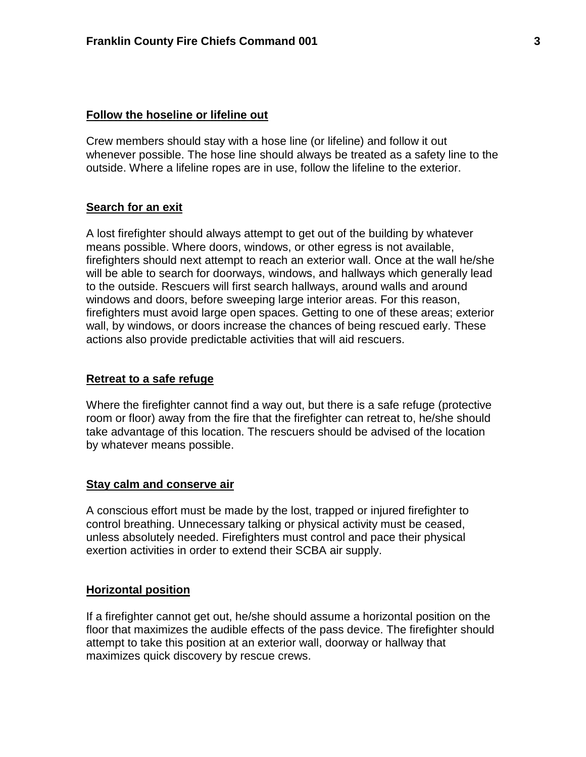#### **Follow the hoseline or lifeline out**

Crew members should stay with a hose line (or lifeline) and follow it out whenever possible. The hose line should always be treated as a safety line to the outside. Where a lifeline ropes are in use, follow the lifeline to the exterior.

#### **Search for an exit**

A lost firefighter should always attempt to get out of the building by whatever means possible. Where doors, windows, or other egress is not available, firefighters should next attempt to reach an exterior wall. Once at the wall he/she will be able to search for doorways, windows, and hallways which generally lead to the outside. Rescuers will first search hallways, around walls and around windows and doors, before sweeping large interior areas. For this reason, firefighters must avoid large open spaces. Getting to one of these areas; exterior wall, by windows, or doors increase the chances of being rescued early. These actions also provide predictable activities that will aid rescuers.

#### **Retreat to a safe refuge**

Where the firefighter cannot find a way out, but there is a safe refuge (protective room or floor) away from the fire that the firefighter can retreat to, he/she should take advantage of this location. The rescuers should be advised of the location by whatever means possible.

#### **Stay calm and conserve air**

A conscious effort must be made by the lost, trapped or injured firefighter to control breathing. Unnecessary talking or physical activity must be ceased, unless absolutely needed. Firefighters must control and pace their physical exertion activities in order to extend their SCBA air supply.

#### **Horizontal position**

If a firefighter cannot get out, he/she should assume a horizontal position on the floor that maximizes the audible effects of the pass device. The firefighter should attempt to take this position at an exterior wall, doorway or hallway that maximizes quick discovery by rescue crews.